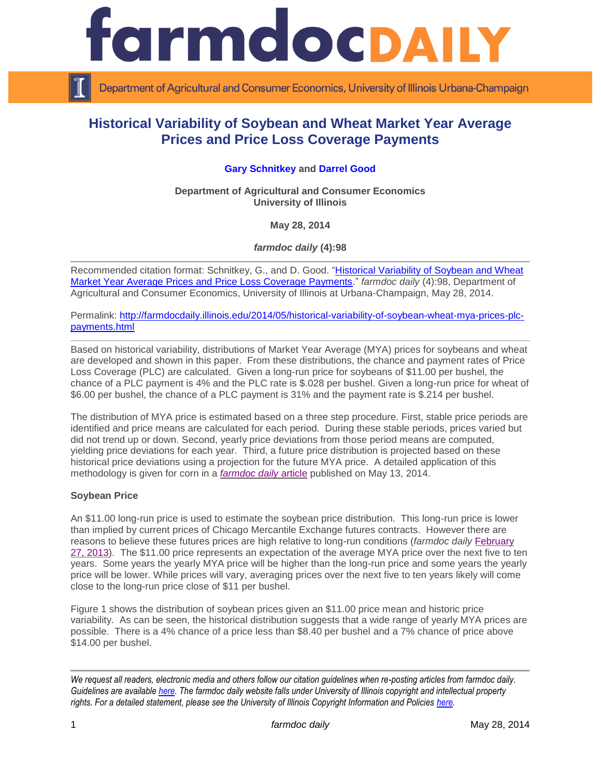

Department of Agricultural and Consumer Economics, University of Illinois Urbana-Champaign

# **Historical Variability of Soybean and Wheat Market Year Average Prices and Price Loss Coverage Payments**

## **[Gary Schnitkey](http://www.farmdoc.illinois.edu/schnitkey) and [Darrel Good](http://www.farmdoc.illinois.edu/good)**

**Department of Agricultural and Consumer Economics University of Illinois**

**May 28, 2014**

*farmdoc daily* **(4):98**

Recommended citation format: Schnitkey, G., and D. Good. "Historical Variability of Soybean and Wheat [Market Year Average Prices and Price Loss Coverage Payments.](http://farmdocdaily.illinois.edu/2014/05/historical-variability-of-soybean-wheat-mya-prices-plc-payments.html)" *farmdoc daily* (4):98, Department of Agricultural and Consumer Economics, University of Illinois at Urbana-Champaign, May 28, 2014.

Permalink: [http://farmdocdaily.illinois.edu/2014/05/historical-variability-of-soybean-wheat-mya-prices-plc](http://farmdocdaily.illinois.edu/2014/05/historical-variability-of-soybean-wheat-mya-prices-plc-payments.html)[payments.html](http://farmdocdaily.illinois.edu/2014/05/historical-variability-of-soybean-wheat-mya-prices-plc-payments.html)

Based on historical variability, distributions of Market Year Average (MYA) prices for soybeans and wheat are developed and shown in this paper. From these distributions, the chance and payment rates of Price Loss Coverage (PLC) are calculated. Given a long-run price for soybeans of \$11.00 per bushel, the chance of a PLC payment is 4% and the PLC rate is \$.028 per bushel. Given a long-run price for wheat of \$6.00 per bushel, the chance of a PLC payment is 31% and the payment rate is \$.214 per bushel.

The distribution of MYA price is estimated based on a three step procedure. First, stable price periods are identified and price means are calculated for each period. During these stable periods, prices varied but did not trend up or down. Second, yearly price deviations from those period means are computed, yielding price deviations for each year. Third, a future price distribution is projected based on these historical price deviations using a projection for the future MYA price. A detailed application of this methodology is given for corn in a *[farmdoc daily](http://farmdocdaily.illinois.edu/2014/05/historical-variability-corn-market-year-average-price-price-loss-coverage-payments.html)* article published on May 13, 2014.

## **Soybean Price**

An \$11.00 long-run price is used to estimate the soybean price distribution. This long-run price is lower than implied by current prices of Chicago Mercantile Exchange futures contracts. However there are reasons to believe these futures prices are high relative to long-run conditions (*farmdoc daily* [February](http://farmdocdaily.illinois.edu/2013/02/new-era-crop-prices-five-year-review.html)  [27, 2013\)](http://farmdocdaily.illinois.edu/2013/02/new-era-crop-prices-five-year-review.html). The \$11.00 price represents an expectation of the average MYA price over the next five to ten years. Some years the yearly MYA price will be higher than the long-run price and some years the yearly price will be lower. While prices will vary, averaging prices over the next five to ten years likely will come close to the long-run price close of \$11 per bushel.

Figure 1 shows the distribution of soybean prices given an \$11.00 price mean and historic price variability. As can be seen, the historical distribution suggests that a wide range of yearly MYA prices are possible. There is a 4% chance of a price less than \$8.40 per bushel and a 7% chance of price above \$14.00 per bushel.

*We request all readers, electronic media and others follow our citation guidelines when re-posting articles from farmdoc daily. Guidelines are available [here.](http://farmdocdaily.illinois.edu/citationguide.html) The farmdoc daily website falls under University of Illinois copyright and intellectual property rights. For a detailed statement, please see the University of Illinois Copyright Information and Policies [here.](http://www.cio.illinois.edu/policies/copyright/)*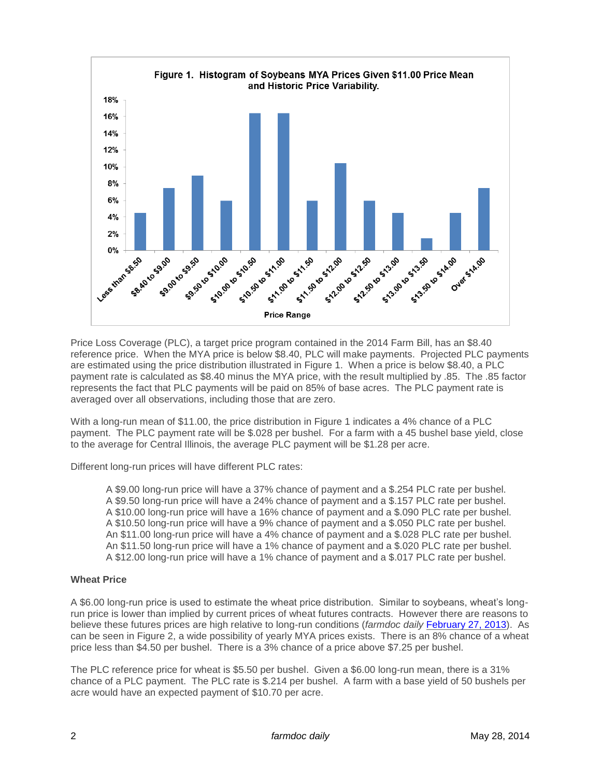

Price Loss Coverage (PLC), a target price program contained in the 2014 Farm Bill, has an \$8.40 reference price. When the MYA price is below \$8.40, PLC will make payments. Projected PLC payments are estimated using the price distribution illustrated in Figure 1. When a price is below \$8.40, a PLC payment rate is calculated as \$8.40 minus the MYA price, with the result multiplied by .85. The .85 factor represents the fact that PLC payments will be paid on 85% of base acres. The PLC payment rate is averaged over all observations, including those that are zero.

With a long-run mean of \$11.00, the price distribution in Figure 1 indicates a 4% chance of a PLC payment. The PLC payment rate will be \$.028 per bushel. For a farm with a 45 bushel base yield, close to the average for Central Illinois, the average PLC payment will be \$1.28 per acre.

Different long-run prices will have different PLC rates:

A \$9.00 long-run price will have a 37% chance of payment and a \$.254 PLC rate per bushel. A \$9.50 long-run price will have a 24% chance of payment and a \$.157 PLC rate per bushel. A \$10.00 long-run price will have a 16% chance of payment and a \$.090 PLC rate per bushel. A \$10.50 long-run price will have a 9% chance of payment and a \$.050 PLC rate per bushel. An \$11.00 long-run price will have a 4% chance of payment and a \$.028 PLC rate per bushel. An \$11.50 long-run price will have a 1% chance of payment and a \$.020 PLC rate per bushel. A \$12.00 long-run price will have a 1% chance of payment and a \$.017 PLC rate per bushel.

## **Wheat Price**

A \$6.00 long-run price is used to estimate the wheat price distribution. Similar to soybeans, wheat's longrun price is lower than implied by current prices of wheat futures contracts. However there are reasons to believe these futures prices are high relative to long-run conditions (*farmdoc daily* [February 27, 2013\)](http://farmdocdaily.illinois.edu/2013/02/new-era-crop-prices-five-year-review.html). As can be seen in Figure 2, a wide possibility of yearly MYA prices exists. There is an 8% chance of a wheat price less than \$4.50 per bushel. There is a 3% chance of a price above \$7.25 per bushel.

The PLC reference price for wheat is \$5.50 per bushel. Given a \$6.00 long-run mean, there is a 31% chance of a PLC payment. The PLC rate is \$.214 per bushel. A farm with a base yield of 50 bushels per acre would have an expected payment of \$10.70 per acre.